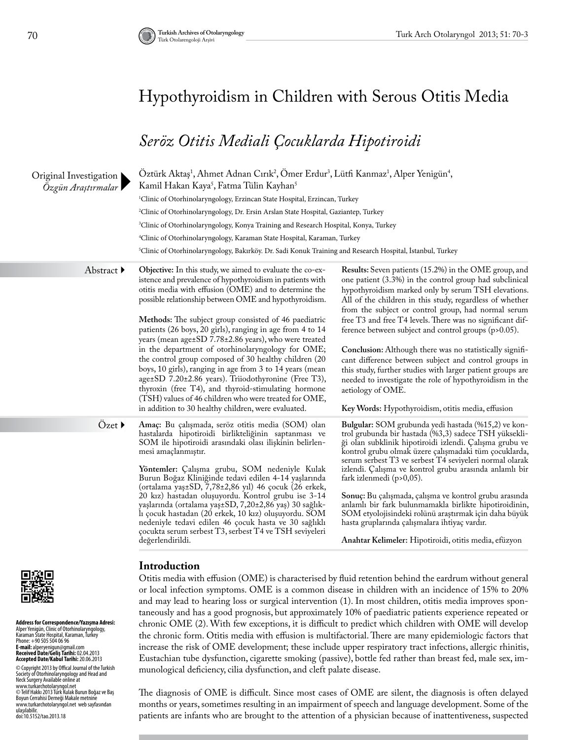# Hypothyroidism in Children with Serous Otitis Media

# *Seröz Otitis Mediali Çocuklarda Hipotiroidi*

| Original Investigation<br>Özgün Araştırmalar | Öztürk Aktaş <sup>1</sup> , Ahmet Adnan Cırık <sup>2</sup> , Ömer Erdur <sup>3</sup> , Lütfi Kanmaz <sup>1</sup> , Alper Yenigün <sup>4</sup> ,<br>Kamil Hakan Kaya <sup>5</sup> , Fatma Tülin Kayhan <sup>5</sup><br><sup>1</sup> Clinic of Otorhinolaryngology, Erzincan State Hospital, Erzincan, Turkey<br><sup>2</sup> Clinic of Otorhinolaryngology, Dr. Ersin Arslan State Hospital, Gaziantep, Turkey<br><sup>3</sup> Clinic of Otorhinolaryngology, Konya Training and Research Hospital, Konya, Turkey<br><sup>4</sup> Clinic of Otorhinolaryngology, Karaman State Hospital, Karaman, Turkey<br><sup>5</sup> Clinic of Otorhinolaryngology, Bakırköy. Dr. Sadi Konuk Training and Research Hospital, İstanbul, Turkey                                                                                                 |                                                                                                                                                                                                                                                                                                                                                                                                                                                                                                                                                                                                                                                                                                                                                |  |
|----------------------------------------------|----------------------------------------------------------------------------------------------------------------------------------------------------------------------------------------------------------------------------------------------------------------------------------------------------------------------------------------------------------------------------------------------------------------------------------------------------------------------------------------------------------------------------------------------------------------------------------------------------------------------------------------------------------------------------------------------------------------------------------------------------------------------------------------------------------------------------------|------------------------------------------------------------------------------------------------------------------------------------------------------------------------------------------------------------------------------------------------------------------------------------------------------------------------------------------------------------------------------------------------------------------------------------------------------------------------------------------------------------------------------------------------------------------------------------------------------------------------------------------------------------------------------------------------------------------------------------------------|--|
| Abstract ▶                                   | Objective: In this study, we aimed to evaluate the co-ex-<br>istence and prevalence of hypothyroidism in patients with<br>otitis media with effusion (OME) and to determine the<br>possible relationship between OME and hypothyroidism.<br>Methods: The subject group consisted of 46 paediatric<br>patients (26 boys, 20 girls), ranging in age from 4 to 14<br>years (mean age±SD 7.78±2.86 years), who were treated<br>in the department of otorhinolaryngology for OME;<br>the control group composed of 30 healthy children (20<br>boys, 10 girls), ranging in age from 3 to 14 years (mean<br>age±SD 7.20±2.86 years). Triiodothyronine (Free T3),<br>thyroxin (free T4), and thyroid-stimulating hormone<br>(TSH) values of 46 children who were treated for OME,<br>in addition to 30 healthy children, were evaluated. | <b>Results:</b> Seven patients (15.2%) in the OME group, and<br>one patient (3.3%) in the control group had subclinical<br>hypothyroidism marked only by serum TSH elevations.<br>All of the children in this study, regardless of whether<br>from the subject or control group, had normal serum<br>free T3 and free T4 levels. There was no significant dif-<br>ference between subject and control groups (p>0.05).<br>Conclusion: Although there was no statistically signifi-<br>cant difference between subject and control groups in<br>this study, further studies with larger patient groups are<br>needed to investigate the role of hypothyroidism in the<br>aetiology of OME.<br>Key Words: Hypothyroidism, otitis media, effusion |  |
| Özet                                         | Amaç: Bu çalışmada, seröz otitis media (SOM) olan<br>hastalarda hipotiroidi birlikteliğinin saptanması ve<br>SOM ile hipotiroidi arasındaki olası ilişkinin belirlen-<br>mesi amaçlanmıştır.<br>Yöntemler: Çalışma grubu, SOM nedeniyle Kulak<br>Burun Boğaz Kliniğinde tedavi edilen 4-14 yaşlarında<br>(ortalama yaş±SD, 7,78±2,86 yıl) 46 çocuk (26 erkek,<br>20 kız) hastadan oluşuyordu. Kontrol grubu ise 3-14<br>yaşlarında (ortalama yaş±SD, 7,20±2,86 yaş) 30 sağlık-<br>lı çocuk hastadan (20 erkek, 10 kız) oluşuyordu. SOM<br>nedeniyle tedavi edilen 46 çocuk hasta ve 30 sağlıklı<br>çocukta serum serbest T3, serbest T4 ve TSH seviyeleri<br>değerlendirildi.                                                                                                                                                    | Bulgular: SOM grubunda yedi hastada (%15,2) ve kon-<br>trol grubunda bir hastada (%3,3) sadece TSH yüksekli-<br>ği olan subklinik hipotiroidi izlendi. Çalışma grubu ve<br>kontrol grubu olmak üzere çalışmadaki tüm çocuklarda,<br>serum serbest T3 ve serbest T4 seviyeleri normal olarak<br>izlendi. Çalışma ve kontrol grubu arasında anlamlı bir<br>fark izlenmedi $(p>0,05)$ .<br>Sonuç: Bu çalışmada, çalışma ve kontrol grubu arasında<br>anlamlı bir fark bulunmamakla birlikte hipotiroidinin,<br>SOM etyolojisindeki rolünü araştırmak için daha büyük<br>hasta gruplarında çalışmalara ihtiyaç vardır.<br>Anahtar Kelimeler: Hipotiroidi, otitis media, efüzyon                                                                    |  |



**Address for Correspondence/Yazışma Adresi:**  Alper Yenigün, Clinic of Otorhinolaryngology, Karaman State Hospital, Karaman, Turkey Phone: +90 505 504 06 96 **E-mail:** alperyenigun@gmail.com **Received Date/Geliş Tarihi:** 02.04.2013 **Accepted Date/Kabul Tarihi:** 20.06.2013 © Copyright 2013 by Offical Journal of the Turkish<br>Society of Otorhinolaryngology and Head and<br>Neck Surgery Available online at<br>www.turkarchotolaryngol.net © Telif Hakkı 2013 Türk Kulak Burun Boğaz ve Baş Boyun Cerrahisi Derneği Makale metnine www.turkarchotolaryngol.net web sayfasından ulaşılabilir. doi:10.5152/tao.2013.18

# **Introduction**

Otitis media with effusion (OME) is characterised by fluid retention behind the eardrum without general or local infection symptoms. OME is a common disease in children with an incidence of 15% to 20% and may lead to hearing loss or surgical intervention (1). In most children, otitis media improves spontaneously and has a good prognosis, but approximately 10% of paediatric patients experience repeated or chronic OME (2). With few exceptions, it is difficult to predict which children with OME will develop the chronic form. Otitis media with effusion is multifactorial. There are many epidemiologic factors that increase the risk of OME development; these include upper respiratory tract infections, allergic rhinitis, Eustachian tube dysfunction, cigarette smoking (passive), bottle fed rather than breast fed, male sex, immunological deficiency, cilia dysfunction, and cleft palate disease.

The diagnosis of OME is difficult. Since most cases of OME are silent, the diagnosis is often delayed months or years, sometimes resulting in an impairment of speech and language development. Some of the patients are infants who are brought to the attention of a physician because of inattentiveness, suspected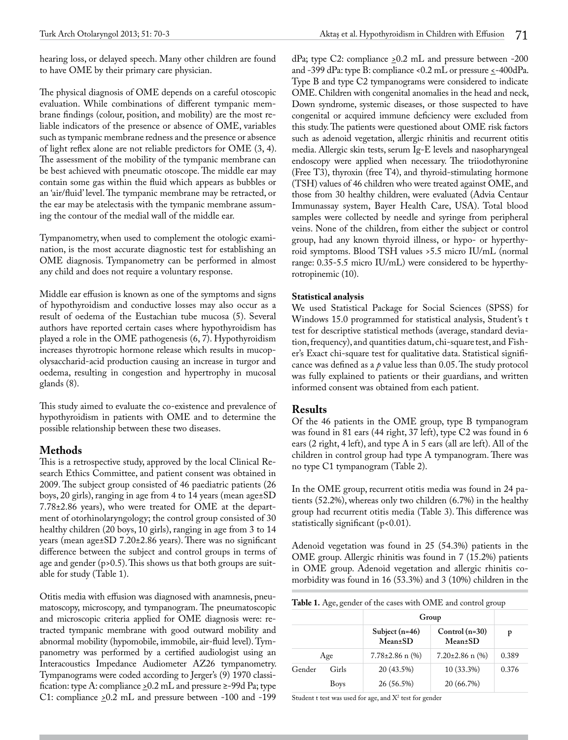hearing loss, or delayed speech. Many other children are found to have OME by their primary care physician.

The physical diagnosis of OME depends on a careful otoscopic evaluation. While combinations of different tympanic membrane findings (colour, position, and mobility) are the most reliable indicators of the presence or absence of OME, variables such as tympanic membrane redness and the presence or absence of light reflex alone are not reliable predictors for OME (3, 4). The assessment of the mobility of the tympanic membrane can be best achieved with pneumatic otoscope. The middle ear may contain some gas within the fluid which appears as bubbles or an 'air/fluid' level. The tympanic membrane may be retracted, or the ear may be atelectasis with the tympanic membrane assuming the contour of the medial wall of the middle ear.

Tympanometry, when used to complement the otologic examination, is the most accurate diagnostic test for establishing an OME diagnosis. Tympanometry can be performed in almost any child and does not require a voluntary response.

Middle ear effusion is known as one of the symptoms and signs of hypothyroidism and conductive losses may also occur as a result of oedema of the Eustachian tube mucosa (5). Several authors have reported certain cases where hypothyroidism has played a role in the OME pathogenesis (6, 7). Hypothyroidism increases thyrotropic hormone release which results in mucopolysaccharid-acid production causing an increase in turgor and oedema, resulting in congestion and hypertrophy in mucosal glands (8).

This study aimed to evaluate the co-existence and prevalence of hypothyroidism in patients with OME and to determine the possible relationship between these two diseases.

# **Methods**

This is a retrospective study, approved by the local Clinical Research Ethics Committee, and patient consent was obtained in 2009. The subject group consisted of 46 paediatric patients (26 boys, 20 girls), ranging in age from 4 to 14 years (mean age±SD 7.78±2.86 years), who were treated for OME at the department of otorhinolaryngology; the control group consisted of 30 healthy children (20 boys, 10 girls), ranging in age from 3 to 14 years (mean age±SD 7.20±2.86 years). There was no significant difference between the subject and control groups in terms of age and gender (p>0.5). This shows us that both groups are suitable for study (Table 1).

Otitis media with effusion was diagnosed with anamnesis, pneumatoscopy, microscopy, and tympanogram. The pneumatoscopic and microscopic criteria applied for OME diagnosis were: retracted tympanic membrane with good outward mobility and abnormal mobility (hypomobile, immobile, air-fluid level). Tympanometry was performed by a certified audiologist using an Interacoustics Impedance Audiometer AZ26 tympanometry. Tympanograms were coded according to Jerger's (9) 1970 classification: type A: compliance  $\geq 0.2$  mL and pressure  $\geq -99d$  Pa; type C1: compliance  $\geq 0.2$  mL and pressure between -100 and -199

dPa; type C2: compliance  $\geq 0.2$  mL and pressure between -200 and -399 dPa: type B: compliance <0.2 mL or pressure  $\leq$ -400dPa. Type B and type C2 tympanograms were considered to indicate OME. Children with congenital anomalies in the head and neck, Down syndrome, systemic diseases, or those suspected to have congenital or acquired immune deficiency were excluded from this study. The patients were questioned about OME risk factors such as adenoid vegetation, allergic rhinitis and recurrent otitis media. Allergic skin tests, serum Ig-E levels and nasopharyngeal endoscopy were applied when necessary. The triiodothyronine (Free T3), thyroxin (free T4), and thyroid-stimulating hormone (TSH) values of 46 children who were treated against OME, and those from 30 healthy children, were evaluated (Advia Centaur Immunassay system, Bayer Health Care, USA). Total blood samples were collected by needle and syringe from peripheral veins. None of the children, from either the subject or control group, had any known thyroid illness, or hypo- or hyperthyroid symptoms. Blood TSH values >5.5 micro IU/mL (normal range: 0.35-5.5 micro IU/mL) were considered to be hyperthyrotropinemic (10).

## **Statistical analysis**

We used Statistical Package for Social Sciences (SPSS) for Windows 15.0 programmed for statistical analysis, Student's t test for descriptive statistical methods (average, standard deviation, frequency), and quantities datum, chi-square test, and Fisher's Exact chi-square test for qualitative data. Statistical significance was defined as a *p* value less than 0.05. The study protocol was fully explained to patients or their guardians, and written informed consent was obtained from each patient.

# **Results**

Of the 46 patients in the OME group, type B tympanogram was found in 81 ears (44 right, 37 left), type C2 was found in 6 ears (2 right, 4 left), and type A in 5 ears (all are left). All of the children in control group had type A tympanogram. There was no type C1 tympanogram (Table 2).

In the OME group, recurrent otitis media was found in 24 patients (52.2%), whereas only two children (6.7%) in the healthy group had recurrent otitis media (Table 3). This difference was statistically significant (p<0.01).

Adenoid vegetation was found in 25 (54.3%) patients in the OME group. Allergic rhinitis was found in 7 (15.2%) patients in OME group. Adenoid vegetation and allergic rhinitis comorbidity was found in 16 (53.3%) and 3 (10%) children in the

| Table 1. Age, gender of the cases with OME and control group |  |
|--------------------------------------------------------------|--|
|--------------------------------------------------------------|--|

|        |       | Group                             |                             |       |
|--------|-------|-----------------------------------|-----------------------------|-------|
|        |       | Subject $(n=46)$<br>$Mean \pm SD$ | Control $(n=30)$<br>Mean±SD | p     |
|        | Age   | $7.78\pm2.86$ n (%)               | $7.20\pm2.86$ n $(\% )$     | 0.389 |
| Gender | Girls | 20 (43.5%)                        | 10 (33.3%)                  | 0.376 |
|        | Boys  | 26 (56.5%)                        | 20 (66.7%)                  |       |

Student t test was used for age, and  $X^2$  test for gender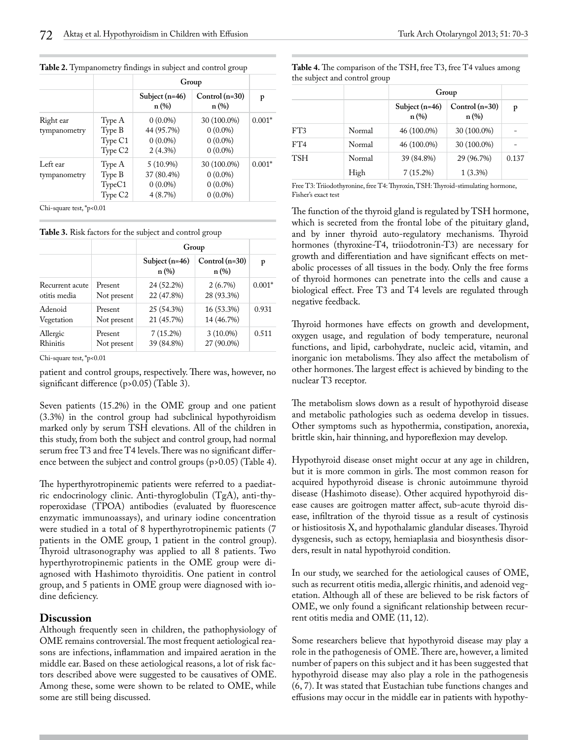|                           |                                                    | Group                                              |                                                       |          |
|---------------------------|----------------------------------------------------|----------------------------------------------------|-------------------------------------------------------|----------|
|                           |                                                    | Subject $(n=46)$<br>$n(\%)$                        | $Control (n=30)$<br>n(%)                              | p        |
| Right ear<br>tympanometry | Type A<br>Type B<br>Type C1<br>Type C <sub>2</sub> | $0(0.0\%)$<br>44 (95.7%)<br>$0(0.0\%)$<br>2(4.3%)  | 30 (100.0%)<br>$0(0.0\%)$<br>$0(0.0\%)$<br>$0(0.0\%)$ | $0.001*$ |
| Left ear<br>tympanometry  | Type A<br>Type B<br>TypeC1<br>Type C <sub>2</sub>  | $5(10.9\%)$<br>37 (80.4%)<br>$0(0.0\%)$<br>4(8.7%) | 30 (100.0%)<br>$0(0.0\%)$<br>$0(0.0\%)$<br>$0(0.0\%)$ | $0.001*$ |

**Table 2.** Tympanometry findings in subject and control group

Chi-square test, \*p<0.01

**Table 3.** Risk factors for the subject and control group

|                 |             | Group                    |                          |          |  |
|-----------------|-------------|--------------------------|--------------------------|----------|--|
|                 |             | Subject $(n=46)$<br>n(%) | $Control (n=30)$<br>n(%) | p        |  |
| Recurrent acute | Present     | 24 (52.2%)               | 2(6.7%)                  | $0.001*$ |  |
| otitis media    | Not present | 22 (47.8%)               | 28 (93.3%)               |          |  |
| Adenoid         | Present     | 25 (54.3%)               | 16 (53.3%)               | 0.931    |  |
| Vegetation      | Not present | 21 (45.7%)               | 14 (46.7%)               |          |  |
| Allergic        | Present     | $7(15.2\%)$              | $3(10.0\%)$              | 0.511    |  |
| <b>Rhinitis</b> | Not present | 39 (84.8%)               | 27 (90.0%)               |          |  |

Chi-square test, \*p<0.01

patient and control groups, respectively. There was, however, no significant difference (p>0.05) (Table 3).

Seven patients (15.2%) in the OME group and one patient (3.3%) in the control group had subclinical hypothyroidism marked only by serum TSH elevations. All of the children in this study, from both the subject and control group, had normal serum free T3 and free T4 levels. There was no significant difference between the subject and control groups (p>0.05) (Table 4).

The hyperthyrotropinemic patients were referred to a paediatric endocrinology clinic. Anti-thyroglobulin (TgA), anti-thyroperoxidase (TPOA) antibodies (evaluated by fluorescence enzymatic immunoassays), and urinary iodine concentration were studied in a total of 8 hyperthyrotropinemic patients (7 patients in the OME group, 1 patient in the control group). Thyroid ultrasonography was applied to all 8 patients. Two hyperthyrotropinemic patients in the OME group were diagnosed with Hashimoto thyroiditis. One patient in control group, and 5 patients in OME group were diagnosed with iodine deficiency.

#### **Discussion**

Although frequently seen in children, the pathophysiology of OME remains controversial. The most frequent aetiological reasons are infections, inflammation and impaired aeration in the middle ear. Based on these aetiological reasons, a lot of risk factors described above were suggested to be causatives of OME. Among these, some were shown to be related to OME, while some are still being discussed.

| Table 4. The comparison of the TSH, free T3, free T4 values among |  |
|-------------------------------------------------------------------|--|
| the subject and control group                                     |  |

|            |        | Group                    |                          |       |  |
|------------|--------|--------------------------|--------------------------|-------|--|
|            |        | Subject $(n=46)$<br>n(%) | Control $(n=30)$<br>n(%) | p     |  |
| FT3        | Normal | 46 (100.0%)              | 30 (100.0%)              |       |  |
| FT4        | Normal | 46 (100.0%)              | 30 (100.0%)              |       |  |
| <b>TSH</b> | Normal | 39 (84.8%)               | 29 (96.7%)               | 0.137 |  |
|            | High   | $7(15.2\%)$              | $1(3.3\%)$               |       |  |

Free T3: Triiodothyronine, free T4: Thyroxin, TSH: Thyroid-stimulating hormone, Fisher's exact test

The function of the thyroid gland is regulated by TSH hormone, which is secreted from the frontal lobe of the pituitary gland, and by inner thyroid auto-regulatory mechanisms. Thyroid hormones (thyroxine-T4, triiodotronin-T3) are necessary for growth and differentiation and have significant effects on metabolic processes of all tissues in the body. Only the free forms of thyroid hormones can penetrate into the cells and cause a biological effect. Free T3 and T4 levels are regulated through negative feedback.

Thyroid hormones have effects on growth and development, oxygen usage, and regulation of body temperature, neuronal functions, and lipid, carbohydrate, nucleic acid, vitamin, and inorganic ion metabolisms. They also affect the metabolism of other hormones. The largest effect is achieved by binding to the nuclear T3 receptor.

The metabolism slows down as a result of hypothyroid disease and metabolic pathologies such as oedema develop in tissues. Other symptoms such as hypothermia, constipation, anorexia, brittle skin, hair thinning, and hyporeflexion may develop.

Hypothyroid disease onset might occur at any age in children, but it is more common in girls. The most common reason for acquired hypothyroid disease is chronic autoimmune thyroid disease (Hashimoto disease). Other acquired hypothyroid disease causes are goitrogen matter affect, sub-acute thyroid disease, infiltration of the thyroid tissue as a result of cystinosis or histiositosis X, and hypothalamic glandular diseases. Thyroid dysgenesis, such as ectopy, hemiaplasia and biosynthesis disorders, result in natal hypothyroid condition.

In our study, we searched for the aetiological causes of OME, such as recurrent otitis media, allergic rhinitis, and adenoid vegetation. Although all of these are believed to be risk factors of OME, we only found a significant relationship between recurrent otitis media and OME (11, 12).

Some researchers believe that hypothyroid disease may play a role in the pathogenesis of OME. There are, however, a limited number of papers on this subject and it has been suggested that hypothyroid disease may also play a role in the pathogenesis (6, 7). It was stated that Eustachian tube functions changes and effusions may occur in the middle ear in patients with hypothy